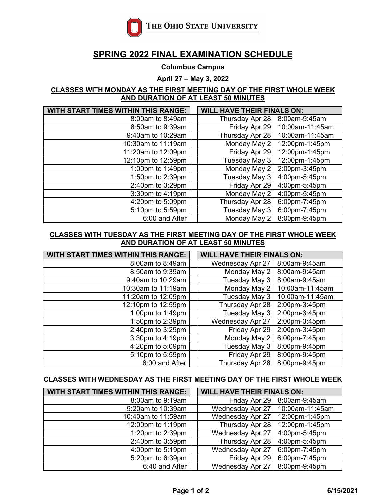

# **SPRING 2022 FINAL EXAMINATION SCHEDULE**

**Columbus Campus**

**April 27 – May 3, 2022**

#### **CLASSES WITH MONDAY AS THE FIRST MEETING DAY OF THE FIRST WHOLE WEEK AND DURATION OF AT LEAST 50 MINUTES**

| <b>WITH START TIMES WITHIN THIS RANGE:</b> |  | <b>WILL HAVE THEIR FINALS ON:</b> |                 |
|--------------------------------------------|--|-----------------------------------|-----------------|
| 8:00am to 8:49am                           |  | Thursday Apr 28                   | 8:00am-9:45am   |
| 8:50am to 9:39am                           |  | Friday Apr 29                     | 10:00am-11:45am |
| 9:40am to 10:29am                          |  | Thursday Apr 28                   | 10:00am-11:45am |
| 10:30am to 11:19am                         |  | Monday May 2                      | 12:00pm-1:45pm  |
| 11:20am to 12:09pm                         |  | Friday Apr 29                     | 12:00pm-1:45pm  |
| 12:10pm to 12:59pm                         |  | Tuesday May 3                     | 12:00pm-1:45pm  |
| 1:00pm to 1:49pm                           |  | Monday May 2                      | 2:00pm-3:45pm   |
| 1:50pm to 2:39pm                           |  | Tuesday May 3                     | 4:00pm-5:45pm   |
| 2:40pm to 3:29pm                           |  | Friday Apr 29                     | 4:00pm-5:45pm   |
| 3:30pm to 4:19pm                           |  | Monday May 2                      | 4:00pm-5:45pm   |
| 4:20pm to 5:09pm                           |  | Thursday Apr 28                   | 6:00pm-7:45pm   |
| 5:10pm to 5:59pm                           |  | Tuesday May 3                     | 6:00pm-7:45pm   |
| 6:00 and After                             |  | Monday May 2                      | 8:00pm-9:45pm   |

#### **CLASSES WITH TUESDAY AS THE FIRST MEETING DAY OF THE FIRST WHOLE WEEK AND DURATION OF AT LEAST 50 MINUTES**

| <b>WITH START TIMES WITHIN THIS RANGE:</b> |  | <b>WILL HAVE THEIR FINALS ON:</b> |                 |
|--------------------------------------------|--|-----------------------------------|-----------------|
| 8:00am to 8:49am                           |  | Wednesday Apr 27                  | 8:00am-9:45am   |
| 8:50am to 9:39am                           |  | Monday May 2                      | 8:00am-9:45am   |
| 9:40am to 10:29am                          |  | 8:00am-9:45am<br>Tuesday May 3    |                 |
| 10:30am to 11:19am                         |  | Monday May 2                      | 10:00am-11:45am |
| 11:20am to 12:09pm                         |  | Tuesday May 3                     | 10:00am-11:45am |
| 12:10pm to 12:59pm                         |  | Thursday Apr 28                   | 2:00pm-3:45pm   |
| 1:00pm to 1:49pm                           |  | Tuesday May 3                     | 2:00pm-3:45pm   |
| 1:50pm to 2:39pm                           |  | <b>Wednesday Apr 27</b>           | 2:00pm-3:45pm   |
| 2:40pm to 3:29pm                           |  | Friday Apr 29                     | 2:00pm-3:45pm   |
| 3:30pm to 4:19pm                           |  | Monday May 2                      | 6:00pm-7:45pm   |
| 4:20pm to 5:09pm                           |  | Tuesday May 3                     | 8:00pm-9:45pm   |
| 5:10pm to 5:59pm                           |  | Friday Apr 29                     | 8:00pm-9:45pm   |
| 6:00 and After                             |  | Thursday Apr 28                   | 8:00pm-9:45pm   |

### **CLASSES WITH WEDNESDAY AS THE FIRST MEETING DAY OF THE FIRST WHOLE WEEK**

| <b>WITH START TIMES WITHIN THIS RANGE:</b> |  | <b>WILL HAVE THEIR FINALS ON:</b> |                 |
|--------------------------------------------|--|-----------------------------------|-----------------|
| 8:00am to 9:19am                           |  | Friday Apr 29                     | 8:00am-9:45am   |
| 9:20am to 10:39am                          |  | <b>Wednesday Apr 27</b>           | 10:00am-11:45am |
| 10:40am to 11:59am                         |  | Wednesday Apr 27                  | 12:00pm-1:45pm  |
| 12:00pm to 1:19pm                          |  | Thursday Apr 28                   | 12:00pm-1:45pm  |
| 1:20pm to 2:39pm                           |  | <b>Wednesday Apr 27</b>           | 4:00pm-5:45pm   |
| 2:40pm to 3:59pm                           |  | Thursday Apr 28                   | 4:00pm-5:45pm   |
| 4:00pm to 5:19pm                           |  | Wednesday Apr 27                  | 6:00pm-7:45pm   |
| 5:20pm to 6:39pm                           |  | Friday Apr 29                     | 6:00pm-7:45pm   |
| 6:40 and After                             |  | <b>Wednesday Apr 27</b>           | 8:00pm-9:45pm   |